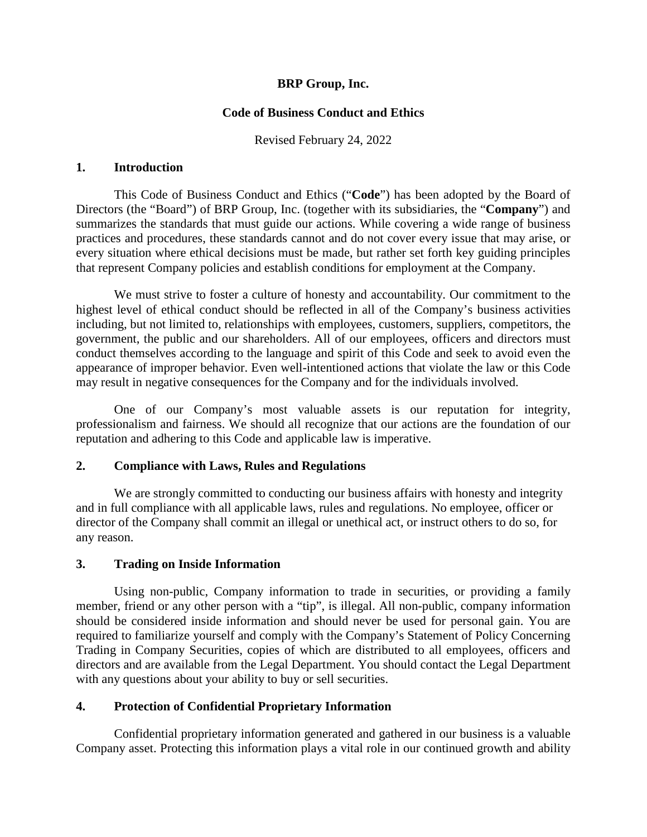# **BRP Group, Inc.**

# **Code of Business Conduct and Ethics**

Revised February 24, 2022

#### **1. Introduction**

This Code of Business Conduct and Ethics ("**Code**") has been adopted by the Board of Directors (the "Board") of BRP Group, Inc. (together with its subsidiaries, the "**Company**") and summarizes the standards that must guide our actions. While covering a wide range of business practices and procedures, these standards cannot and do not cover every issue that may arise, or every situation where ethical decisions must be made, but rather set forth key guiding principles that represent Company policies and establish conditions for employment at the Company.

We must strive to foster a culture of honesty and accountability. Our commitment to the highest level of ethical conduct should be reflected in all of the Company's business activities including, but not limited to, relationships with employees, customers, suppliers, competitors, the government, the public and our shareholders. All of our employees, officers and directors must conduct themselves according to the language and spirit of this Code and seek to avoid even the appearance of improper behavior. Even well-intentioned actions that violate the law or this Code may result in negative consequences for the Company and for the individuals involved.

One of our Company's most valuable assets is our reputation for integrity, professionalism and fairness. We should all recognize that our actions are the foundation of our reputation and adhering to this Code and applicable law is imperative.

## **2. Compliance with Laws, Rules and Regulations**

We are strongly committed to conducting our business affairs with honesty and integrity and in full compliance with all applicable laws, rules and regulations. No employee, officer or director of the Company shall commit an illegal or unethical act, or instruct others to do so, for any reason.

## **3. Trading on Inside Information**

Using non-public, Company information to trade in securities, or providing a family member, friend or any other person with a "tip", is illegal. All non-public, company information should be considered inside information and should never be used for personal gain. You are required to familiarize yourself and comply with the Company's Statement of Policy Concerning Trading in Company Securities, copies of which are distributed to all employees, officers and directors and are available from the Legal Department. You should contact the Legal Department with any questions about your ability to buy or sell securities.

## **4. Protection of Confidential Proprietary Information**

Confidential proprietary information generated and gathered in our business is a valuable Company asset. Protecting this information plays a vital role in our continued growth and ability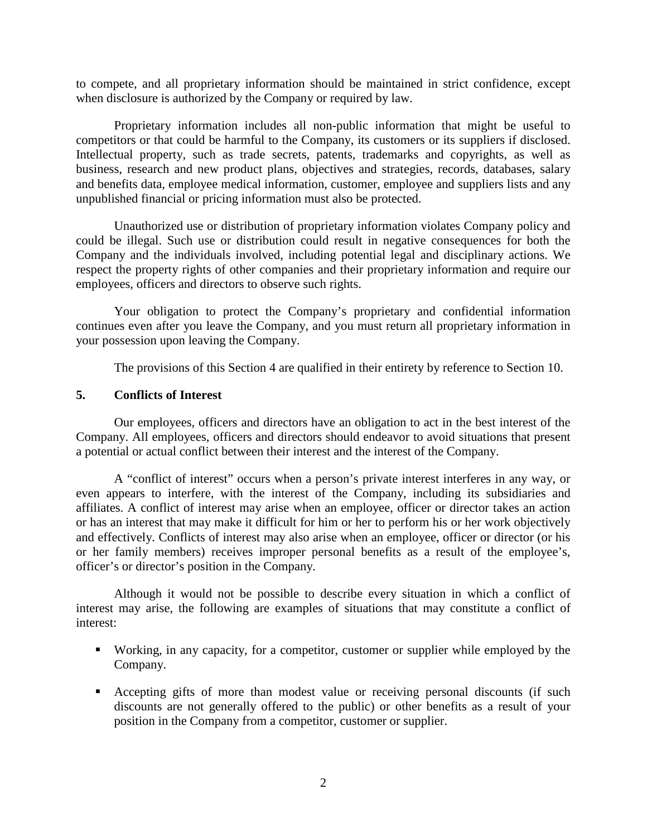to compete, and all proprietary information should be maintained in strict confidence, except when disclosure is authorized by the Company or required by law.

Proprietary information includes all non-public information that might be useful to competitors or that could be harmful to the Company, its customers or its suppliers if disclosed. Intellectual property, such as trade secrets, patents, trademarks and copyrights, as well as business, research and new product plans, objectives and strategies, records, databases, salary and benefits data, employee medical information, customer, employee and suppliers lists and any unpublished financial or pricing information must also be protected.

Unauthorized use or distribution of proprietary information violates Company policy and could be illegal. Such use or distribution could result in negative consequences for both the Company and the individuals involved, including potential legal and disciplinary actions. We respect the property rights of other companies and their proprietary information and require our employees, officers and directors to observe such rights.

Your obligation to protect the Company's proprietary and confidential information continues even after you leave the Company, and you must return all proprietary information in your possession upon leaving the Company.

The provisions of this Section 4 are qualified in their entirety by reference to Section 10.

#### **5. Conflicts of Interest**

Our employees, officers and directors have an obligation to act in the best interest of the Company. All employees, officers and directors should endeavor to avoid situations that present a potential or actual conflict between their interest and the interest of the Company.

A "conflict of interest" occurs when a person's private interest interferes in any way, or even appears to interfere, with the interest of the Company, including its subsidiaries and affiliates. A conflict of interest may arise when an employee, officer or director takes an action or has an interest that may make it difficult for him or her to perform his or her work objectively and effectively. Conflicts of interest may also arise when an employee, officer or director (or his or her family members) receives improper personal benefits as a result of the employee's, officer's or director's position in the Company.

Although it would not be possible to describe every situation in which a conflict of interest may arise, the following are examples of situations that may constitute a conflict of interest:

- Working, in any capacity, for a competitor, customer or supplier while employed by the Company.
- Accepting gifts of more than modest value or receiving personal discounts (if such discounts are not generally offered to the public) or other benefits as a result of your position in the Company from a competitor, customer or supplier.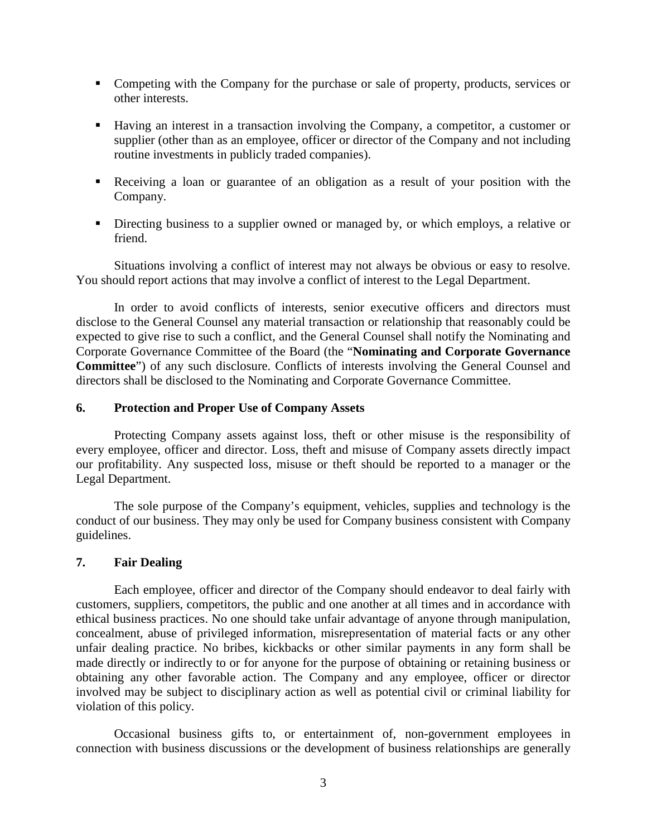- Competing with the Company for the purchase or sale of property, products, services or other interests.
- Having an interest in a transaction involving the Company, a competitor, a customer or supplier (other than as an employee, officer or director of the Company and not including routine investments in publicly traded companies).
- Receiving a loan or guarantee of an obligation as a result of your position with the Company.
- Directing business to a supplier owned or managed by, or which employs, a relative or friend.

Situations involving a conflict of interest may not always be obvious or easy to resolve. You should report actions that may involve a conflict of interest to the Legal Department.

In order to avoid conflicts of interests, senior executive officers and directors must disclose to the General Counsel any material transaction or relationship that reasonably could be expected to give rise to such a conflict, and the General Counsel shall notify the Nominating and Corporate Governance Committee of the Board (the "**Nominating and Corporate Governance Committee**") of any such disclosure. Conflicts of interests involving the General Counsel and directors shall be disclosed to the Nominating and Corporate Governance Committee.

## **6. Protection and Proper Use of Company Assets**

Protecting Company assets against loss, theft or other misuse is the responsibility of every employee, officer and director. Loss, theft and misuse of Company assets directly impact our profitability. Any suspected loss, misuse or theft should be reported to a manager or the Legal Department.

The sole purpose of the Company's equipment, vehicles, supplies and technology is the conduct of our business. They may only be used for Company business consistent with Company guidelines.

#### **7. Fair Dealing**

Each employee, officer and director of the Company should endeavor to deal fairly with customers, suppliers, competitors, the public and one another at all times and in accordance with ethical business practices. No one should take unfair advantage of anyone through manipulation, concealment, abuse of privileged information, misrepresentation of material facts or any other unfair dealing practice. No bribes, kickbacks or other similar payments in any form shall be made directly or indirectly to or for anyone for the purpose of obtaining or retaining business or obtaining any other favorable action. The Company and any employee, officer or director involved may be subject to disciplinary action as well as potential civil or criminal liability for violation of this policy.

Occasional business gifts to, or entertainment of, non-government employees in connection with business discussions or the development of business relationships are generally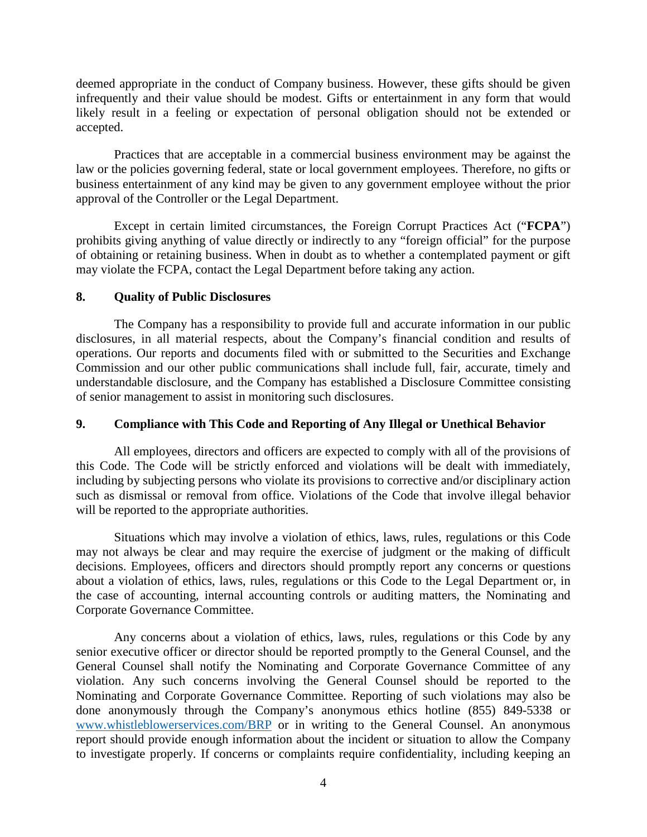deemed appropriate in the conduct of Company business. However, these gifts should be given infrequently and their value should be modest. Gifts or entertainment in any form that would likely result in a feeling or expectation of personal obligation should not be extended or accepted.

Practices that are acceptable in a commercial business environment may be against the law or the policies governing federal, state or local government employees. Therefore, no gifts or business entertainment of any kind may be given to any government employee without the prior approval of the Controller or the Legal Department.

Except in certain limited circumstances, the Foreign Corrupt Practices Act ("**FCPA**") prohibits giving anything of value directly or indirectly to any "foreign official" for the purpose of obtaining or retaining business. When in doubt as to whether a contemplated payment or gift may violate the FCPA, contact the Legal Department before taking any action.

## **8. Quality of Public Disclosures**

The Company has a responsibility to provide full and accurate information in our public disclosures, in all material respects, about the Company's financial condition and results of operations. Our reports and documents filed with or submitted to the Securities and Exchange Commission and our other public communications shall include full, fair, accurate, timely and understandable disclosure, and the Company has established a Disclosure Committee consisting of senior management to assist in monitoring such disclosures.

# **9. Compliance with This Code and Reporting of Any Illegal or Unethical Behavior**

All employees, directors and officers are expected to comply with all of the provisions of this Code. The Code will be strictly enforced and violations will be dealt with immediately, including by subjecting persons who violate its provisions to corrective and/or disciplinary action such as dismissal or removal from office. Violations of the Code that involve illegal behavior will be reported to the appropriate authorities.

Situations which may involve a violation of ethics, laws, rules, regulations or this Code may not always be clear and may require the exercise of judgment or the making of difficult decisions. Employees, officers and directors should promptly report any concerns or questions about a violation of ethics, laws, rules, regulations or this Code to the Legal Department or, in the case of accounting, internal accounting controls or auditing matters, the Nominating and Corporate Governance Committee.

Any concerns about a violation of ethics, laws, rules, regulations or this Code by any senior executive officer or director should be reported promptly to the General Counsel, and the General Counsel shall notify the Nominating and Corporate Governance Committee of any violation. Any such concerns involving the General Counsel should be reported to the Nominating and Corporate Governance Committee. Reporting of such violations may also be done anonymously through the Company's anonymous ethics hotline (855) 849-5338 or [www.whistleblowerservices.com/BRP](http://www.whistleblowerservices.com/BRP) or in writing to the General Counsel. An anonymous report should provide enough information about the incident or situation to allow the Company to investigate properly. If concerns or complaints require confidentiality, including keeping an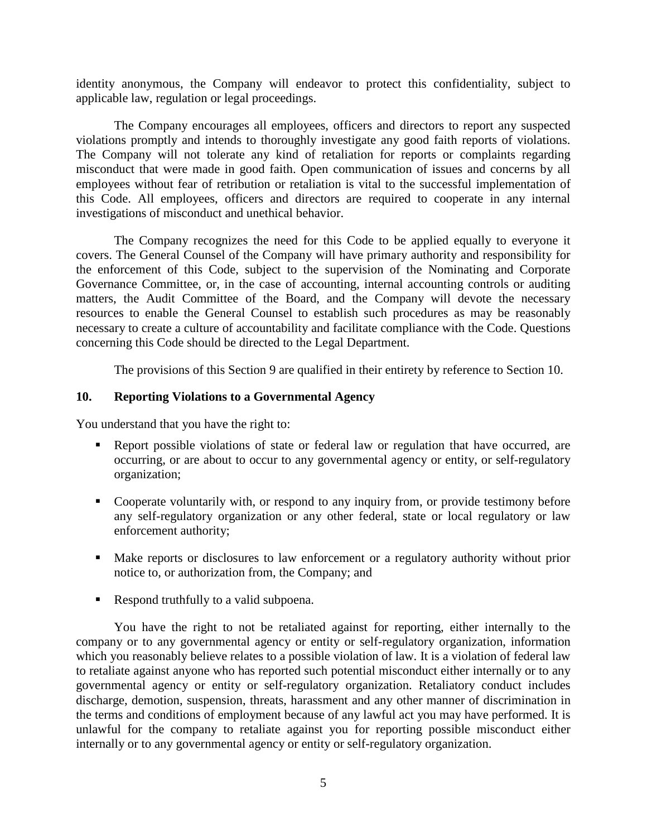identity anonymous, the Company will endeavor to protect this confidentiality, subject to applicable law, regulation or legal proceedings.

The Company encourages all employees, officers and directors to report any suspected violations promptly and intends to thoroughly investigate any good faith reports of violations. The Company will not tolerate any kind of retaliation for reports or complaints regarding misconduct that were made in good faith. Open communication of issues and concerns by all employees without fear of retribution or retaliation is vital to the successful implementation of this Code. All employees, officers and directors are required to cooperate in any internal investigations of misconduct and unethical behavior.

The Company recognizes the need for this Code to be applied equally to everyone it covers. The General Counsel of the Company will have primary authority and responsibility for the enforcement of this Code, subject to the supervision of the Nominating and Corporate Governance Committee, or, in the case of accounting, internal accounting controls or auditing matters, the Audit Committee of the Board, and the Company will devote the necessary resources to enable the General Counsel to establish such procedures as may be reasonably necessary to create a culture of accountability and facilitate compliance with the Code. Questions concerning this Code should be directed to the Legal Department.

The provisions of this Section 9 are qualified in their entirety by reference to Section 10.

## **10. Reporting Violations to a Governmental Agency**

You understand that you have the right to:

- Report possible violations of state or federal law or regulation that have occurred, are occurring, or are about to occur to any governmental agency or entity, or self-regulatory organization;
- Cooperate voluntarily with, or respond to any inquiry from, or provide testimony before any self-regulatory organization or any other federal, state or local regulatory or law enforcement authority;
- Make reports or disclosures to law enforcement or a regulatory authority without prior notice to, or authorization from, the Company; and
- Respond truthfully to a valid subpoena.

You have the right to not be retaliated against for reporting, either internally to the company or to any governmental agency or entity or self-regulatory organization, information which you reasonably believe relates to a possible violation of law. It is a violation of federal law to retaliate against anyone who has reported such potential misconduct either internally or to any governmental agency or entity or self-regulatory organization. Retaliatory conduct includes discharge, demotion, suspension, threats, harassment and any other manner of discrimination in the terms and conditions of employment because of any lawful act you may have performed. It is unlawful for the company to retaliate against you for reporting possible misconduct either internally or to any governmental agency or entity or self-regulatory organization.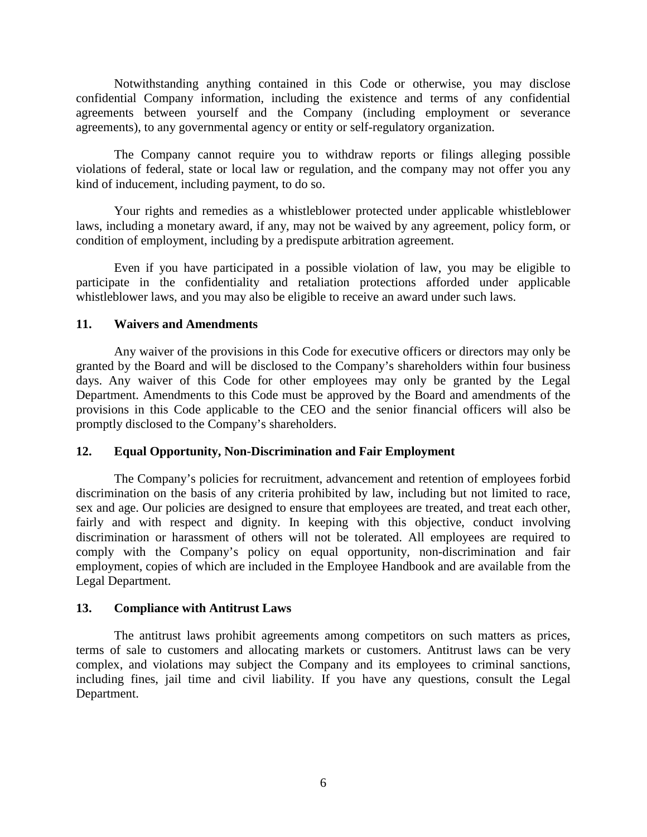Notwithstanding anything contained in this Code or otherwise, you may disclose confidential Company information, including the existence and terms of any confidential agreements between yourself and the Company (including employment or severance agreements), to any governmental agency or entity or self-regulatory organization.

The Company cannot require you to withdraw reports or filings alleging possible violations of federal, state or local law or regulation, and the company may not offer you any kind of inducement, including payment, to do so.

Your rights and remedies as a whistleblower protected under applicable whistleblower laws, including a monetary award, if any, may not be waived by any agreement, policy form, or condition of employment, including by a predispute arbitration agreement.

Even if you have participated in a possible violation of law, you may be eligible to participate in the confidentiality and retaliation protections afforded under applicable whistleblower laws, and you may also be eligible to receive an award under such laws.

## **11. Waivers and Amendments**

Any waiver of the provisions in this Code for executive officers or directors may only be granted by the Board and will be disclosed to the Company's shareholders within four business days. Any waiver of this Code for other employees may only be granted by the Legal Department. Amendments to this Code must be approved by the Board and amendments of the provisions in this Code applicable to the CEO and the senior financial officers will also be promptly disclosed to the Company's shareholders.

## **12. Equal Opportunity, Non-Discrimination and Fair Employment**

The Company's policies for recruitment, advancement and retention of employees forbid discrimination on the basis of any criteria prohibited by law, including but not limited to race, sex and age. Our policies are designed to ensure that employees are treated, and treat each other, fairly and with respect and dignity. In keeping with this objective, conduct involving discrimination or harassment of others will not be tolerated. All employees are required to comply with the Company's policy on equal opportunity, non-discrimination and fair employment, copies of which are included in the Employee Handbook and are available from the Legal Department.

## **13. Compliance with Antitrust Laws**

The antitrust laws prohibit agreements among competitors on such matters as prices, terms of sale to customers and allocating markets or customers. Antitrust laws can be very complex, and violations may subject the Company and its employees to criminal sanctions, including fines, jail time and civil liability. If you have any questions, consult the Legal Department.